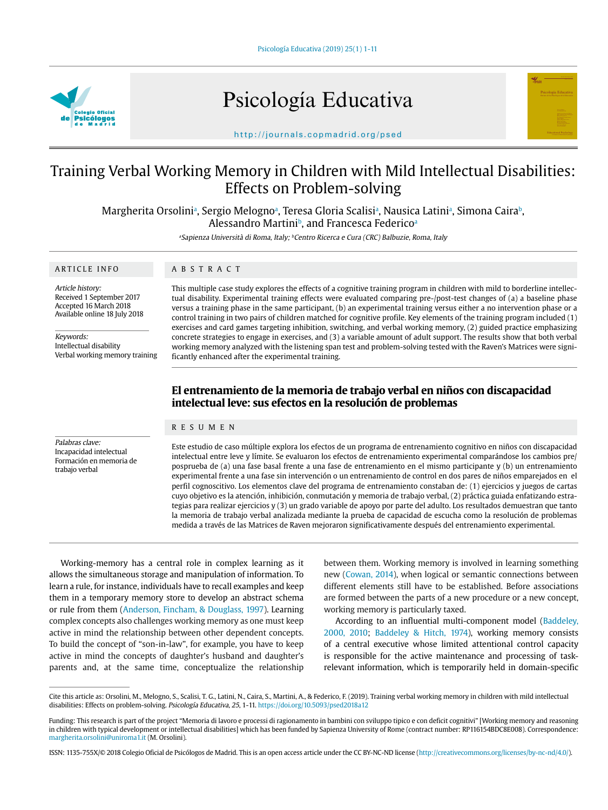Psicología Educativa (2019) 25(1) 1-11



Psicología Educativa



http://journals.copmadrid.org/psed

# Training Verbal Working Memory in Children with Mild Intellectual Disabilities: Effects on Problem-solving

Margherita Orsoliniª, Sergio Melognoª, Teresa Gloria Scalisiª, Nausica Latiniª, Simona Cairaʰ, Alessandro Martini<sup>b</sup>, and Francesca Federico<sup>a</sup>

<sup>a</sup>Sapienza Università di Roma, Italy; <sup>b</sup>Centro Ricerca e Cura (CRC) Balbuzie, Roma, Italy

#### ARTICLE INFO

#### ABSTRACT

Article history: Received 1 September 2017 Accepted 16 March 2018 Available online 18 July 2018

Keywords: Intellectual disability Verbal working memory training This multiple case study explores the effects of a cognitive training program in children with mild to borderline intellectual disability. Experimental training effects were evaluated comparing pre-/post-test changes of (a) a baseline phase versus a training phase in the same participant, (b) an experimental training versus either a no intervention phase or a control training in two pairs of children matched for cognitive profile. Key elements of the training program included (1) exercises and card games targeting inhibition, switching, and verbal working memory, (2) guided practice emphasizing concrete strategies to engage in exercises, and (3) a variable amount of adult support. The results show that both verbal working memory analyzed with the listening span test and problem-solving tested with the Raven's Matrices were significantly enhanced after the experimental training.

## **El entrenamiento de la memoria de trabajo verbal en niños con discapacidad intelectual leve: sus efectos en la resolución de problemas**

#### RESUMEN

Palabras clave: Incapacidad intelectual Formación en memoria de trabajo verbal

Este estudio de caso múltiple explora los efectos de un programa de entrenamiento cognitivo en niños con discapacidad intelectual entre leve y límite. Se evaluaron los efectos de entrenamiento experimental comparándose los cambios pre/ posprueba de (a) una fase basal frente a una fase de entrenamiento en el mismo participante y (b) un entrenamiento experimental frente a una fase sin intervención o un entrenamiento de control en dos pares de niños emparejados en el perfil cognoscitivo. Los elementos clave del programa de entrenamiento constaban de: (1) ejercicios y juegos de cartas cuyo objetivo es la atención, inhibición, conmutación y memoria de trabajo verbal, (2) práctica guiada enfatizando estrategias para realizar ejercicios y (3) un grado variable de apoyo por parte del adulto. Los resultados demuestran que tanto la memoria de trabajo verbal analizada mediante la prueba de capacidad de escucha como la resolución de problemas medida a través de las Matrices de Raven mejoraron significativamente después del entrenamiento experimental.

Working-memory has a central role in complex learning as it allows the simultaneous storage and manipulation of information. To learn a rule, for instance, individuals have to recall examples and keep them in a temporary memory store to develop an abstract schema or rule from them ([Anderson, Fincham, & Douglass, 1997\)](#page-9-0). Learning complex concepts also challenges working memory as one must keep active in mind the relationship between other dependent concepts. To build the concept of "son-in-law", for example, you have to keep active in mind the concepts of daughter's husband and daughter's parents and, at the same time, conceptualize the relationship

between them. Working memory is involved in learning something new ([Cowan, 2014](#page-9-1)), when logical or semantic connections between different elements still have to be established. Before associations are formed between the parts of a new procedure or a new concept, working memory is particularly taxed.

According to an influential multi-component model [\(Baddeley,](#page-9-2)  [2000, 2010](#page-9-2); [Baddeley & Hitch, 1974](#page-9-3)), working memory consists of a central executive whose limited attentional control capacity is responsible for the active maintenance and processing of taskrelevant information, which is temporarily held in domain-specific

Cite this article as: Orsolini, M., Melogno, S., Scalisi, T. G., Latini, N., Caira, S., Martini, A., & Federico, F. (2019). Training verbal working memory in children with mild intellectual disabilities: Effects on problem-solving. Psicología Educativa, 25, 1-11. https://doi.org/10.5093/psed2018a12

Funding: This research is part of the project "Memoria di lavoro e processi di ragionamento in bambini con sviluppo tipico e con deficit cognitivi" [Working memory and reasoning in children with typical development or intellectual disabilities] which has been funded by Sapienza University of Rome (contract number: RP116154BDC8E008). Correspondence: margherita.orsolini@uniroma1.it (M. Orsolini).

ISSN: 1135-755X/© 2018 Colegio Oficial de Psicólogos de Madrid. This is an open access article under the CC BY-NC-ND license (http://creativecommons.org/licenses/by-nc-nd/4.0/).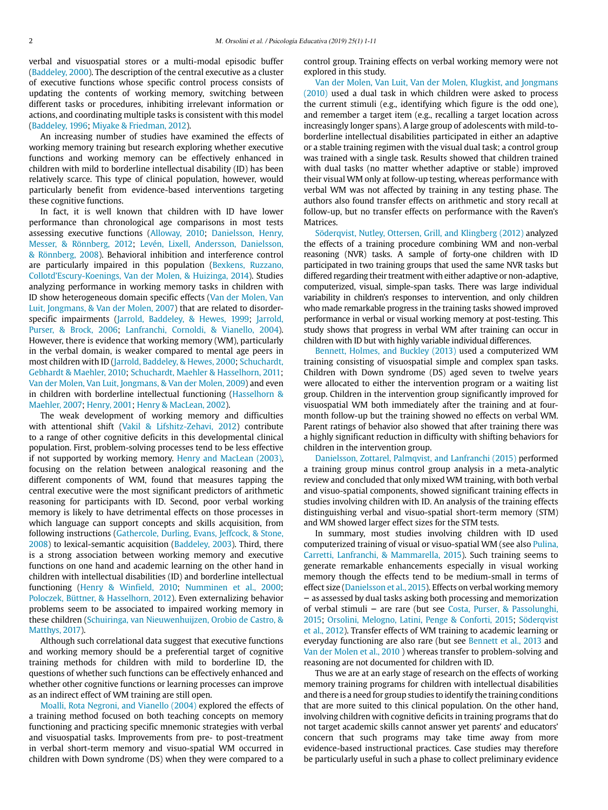verbal and visuospatial stores or a multi-modal episodic buffer [\(Baddeley, 2000\)](#page-9-2). The description of the central executive as a cluster of executive functions whose specific control process consists of updating the contents of working memory, switching between different tasks or procedures, inhibiting irrelevant information or actions, and coordinating multiple tasks is consistent with this model [\(Baddeley, 1996;](#page-9-4) [Miyake & Friedman, 2012\)](#page-9-5).

An increasing number of studies have examined the effects of working memory training but research exploring whether executive functions and working memory can be effectively enhanced in children with mild to borderline intellectual disability (ID) has been relatively scarce. This type of clinical population, however, would particularly benefit from evidence-based interventions targeting these cognitive functions.

In fact, it is well known that children with ID have lower performance than chronological age comparisons in most tests assessing executive functions [\(Alloway, 2010](#page-8-0); [Danielsson, Henry,](#page-9-6)  [Messer, & Rönnberg, 2012;](#page-9-6) [Levén, Lixell, Andersson, Danielsson,](#page-9-7)  [& Rönnberg, 2008\)](#page-9-7). Behavioral inhibition and interference control are particularly impaired in this population [\(Bexkens, Ruzzano,](#page-9-8)  [Collotd'Escury-Koenings, Van der Molen, & Huizinga, 2014\)](#page-9-8). Studies analyzing performance in working memory tasks in children with ID show heterogeneous domain specific effects [\(Van der Molen, Van](#page-10-0)  [Luit, Jongmans, & Van der Molen, 2007\)](#page-10-0) that are related to disorderspecific impairments ([Jarrold, Baddeley, & Hewes, 1999;](#page-9-9) [Jarrold,](#page-9-10)  [Purser, & Brock, 2006](#page-9-10); [Lanfranchi, Cornoldi, & Vianello, 2004](#page-9-11)). However, there is evidence that working memory (WM), particularly in the verbal domain, is weaker compared to mental age peers in most children with ID ([Jarrold, Baddeley, & Hewes, 2000](#page-9-12); [Schuchardt,](#page-9-13)  [Gebhardt & Maehler, 2010](#page-9-13); [Schuchardt, Maehler & Hasselhorn, 2011;](#page-10-1) [Van der Molen, Van Luit, Jongmans, & Van der Molen, 2009](#page-10-2)) and even in children with borderline intellectual functioning ([Hasselhorn &](#page-9-14)  [Maehler, 2007](#page-9-14); [Henry, 2001](#page-9-15); [Henry & MacLean, 2002\)](#page-9-16).

The weak development of working memory and difficulties with attentional shift ([Vakil & Lifshitz-Zehavi, 2012\)](#page-10-3) contribute to a range of other cognitive deficits in this developmental clinical population. First, problem-solving processes tend to be less effective if not supported by working memory. [Henry and MacLean \(2003\),](#page-9-17) focusing on the relation between analogical reasoning and the different components of WM, found that measures tapping the central executive were the most significant predictors of arithmetic reasoning for participants with ID. Second, poor verbal working memory is likely to have detrimental effects on those processes in which language can support concepts and skills acquisition, from following instructions [\(Gathercole, Durling, Evans, Jeffcock, & Stone,](#page-9-18)  [2008\)](#page-9-18) to lexical-semantic acquisition ([Baddeley, 2003\)](#page-9-19). Third, there is a strong association between working memory and executive functions on one hand and academic learning on the other hand in children with intellectual disabilities (ID) and borderline intellectual functioning ([Henry & Winfield, 2010;](#page-9-20) [Numminen et al., 2000;](#page-9-21) [Poloczek, Büttner, & Hasselhorn, 2012\)](#page-9-22). Even externalizing behavior problems seem to be associated to impaired working memory in these children [\(Schuiringa, van Nieuwenhuijzen, Orobio de Castro, &](#page-10-4)  [Matthys, 2017](#page-10-4)).

Although such correlational data suggest that executive functions and working memory should be a preferential target of cognitive training methods for children with mild to borderline ID, the questions of whether such functions can be effectively enhanced and whether other cognitive functions or learning processes can improve as an indirect effect of WM training are still open.

[Moalli, Rota Negroni, and Vianello \(2004\) e](#page-9-23)xplored the effects of a training method focused on both teaching concepts on memory functioning and practicing specific mnemonic strategies with verbal and visuospatial tasks. Improvements from pre- to post-treatment in verbal short-term memory and visuo-spatial WM occurred in children with Down syndrome (DS) when they were compared to a

control group. Training effects on verbal working memory were not explored in this study.

[Van der Molen, Van Luit, Van der Molen, Klugkist, and Jongmans](#page-10-5) [\(2010\)](#page-10-5) used a dual task in which children were asked to process the current stimuli (e.g., identifying which figure is the odd one), and remember a target item (e.g., recalling a target location across increasingly longer spans). A large group of adolescents with mild-toborderline intellectual disabilities participated in either an adaptive or a stable training regimen with the visual dual task; a control group was trained with a single task. Results showed that children trained with dual tasks (no matter whether adaptive or stable) improved their visual WM only at follow-up testing, whereas performance with verbal WM was not affected by training in any testing phase. The authors also found transfer effects on arithmetic and story recall at follow-up, but no transfer effects on performance with the Raven's Matrices.

Söderqvist, Nutley, Ottersen, Grill, and Klingberg (2012) analyzed the effects of a training procedure combining WM and non-verbal reasoning (NVR) tasks. A sample of forty-one children with ID participated in two training groups that used the same NVR tasks but differed regarding their treatment with either adaptive or non-adaptive, computerized, visual, simple-span tasks. There was large individual variability in children's responses to intervention, and only children who made remarkable progress in the training tasks showed improved performance in verbal or visual working memory at post-testing. This study shows that progress in verbal WM after training can occur in children with ID but with highly variable individual differences.

[Bennett, Holmes, and Buckley \(2013\)](#page-9-24) used a computerized WM training consisting of visuospatial simple and complex span tasks. Children with Down syndrome (DS) aged seven to twelve years were allocated to either the intervention program or a waiting list group. Children in the intervention group significantly improved for visuospatial WM both immediately after the training and at fourmonth follow-up but the training showed no effects on verbal WM. Parent ratings of behavior also showed that after training there was a highly significant reduction in difficulty with shifting behaviors for children in the intervention group.

[Danielsson, Zottarel, Palmqvist, and Lanfranchi \(2015\)](#page-9-25) performed a training group minus control group analysis in a meta-analytic review and concluded that only mixed WM training, with both verbal and visuo-spatial components, showed significant training effects in studies involving children with ID. An analysis of the training effects distinguishing verbal and visuo-spatial short-term memory (STM) and WM showed larger effect sizes for the STM tests.

In summary, most studies involving children with ID used computerized training of visual or visuo-spatial WM (see also [Pulina,](#page-9-26) [Carretti, Lanfranchi, & Mammarella, 2015](#page-9-26)). Such training seems to generate remarkable enhancements especially in visual working memory though the effects tend to be medium-small in terms of effect size [\(Danielsson et al., 2015](#page-9-25)). Effects on verbal working memory – as assessed by dual tasks asking both processing and memorization of verbal stimuli – are rare (but see [Costa, Purser, & Passolunghi,](#page-9-27) [2015](#page-9-27); [Orsolini, Melogno, Latini, Penge & Conforti, 2015;](#page-9-28) Söderqvist et al., 2012). Transfer effects of WM training to academic learning or everyday functioning are also rare (but see [Bennett et al., 2013](#page-9-24) and [Van der Molen et al., 2010 \)](#page-10-5) whereas transfer to problem-solving and reasoning are not documented for children with ID.

Thus we are at an early stage of research on the effects of working memory training programs for children with intellectual disabilities and there is a need for group studies to identify the training conditions that are more suited to this clinical population. On the other hand, involving children with cognitive deficits in training programs that do not target academic skills cannot answer yet parents' and educators' concern that such programs may take time away from more evidence-based instructional practices. Case studies may therefore be particularly useful in such a phase to collect preliminary evidence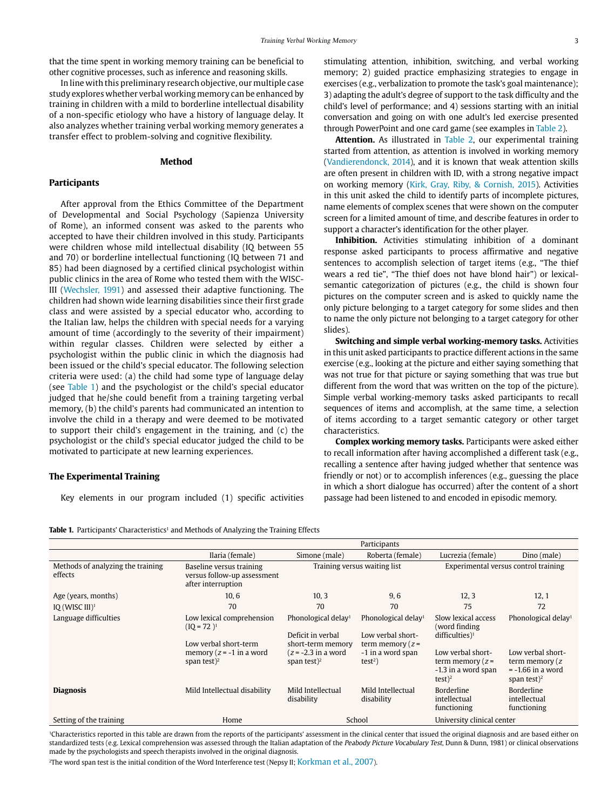that the time spent in working memory training can be beneficial to other cognitive processes, such as inference and reasoning skills.

In line with this preliminary research objective, our multiple case study explores whether verbal working memory can be enhanced by training in children with a mild to borderline intellectual disability of a non-specific etiology who have a history of language delay. It also analyzes whether training verbal working memory generates a transfer effect to problem-solving and cognitive flexibility.

## **Method**

## **Participants**

After approval from the Ethics Committee of the Department of Developmental and Social Psychology (Sapienza University of Rome), an informed consent was asked to the parents who accepted to have their children involved in this study. Participants were children whose mild intellectual disability (IQ between 55 and 70) or borderline intellectual functioning (IQ between 71 and 85) had been diagnosed by a certified clinical psychologist within public clinics in the area of Rome who tested them with the WISC-III [\(Wechsler, 1991](#page-10-6)) and assessed their adaptive functioning. The children had shown wide learning disabilities since their first grade class and were assisted by a special educator who, according to the Italian law, helps the children with special needs for a varying amount of time (accordingly to the severity of their impairment) within regular classes. Children were selected by either a psychologist within the public clinic in which the diagnosis had been issued or the child's special educator. The following selection criteria were used: (a) the child had some type of language delay (see [Table 1](#page-2-0)) and the psychologist or the child's special educator judged that he/she could benefit from a training targeting verbal memory, (b) the child's parents had communicated an intention to involve the child in a therapy and were deemed to be motivated to support their child's engagement in the training, and (c) the psychologist or the child's special educator judged the child to be motivated to participate at new learning experiences.

#### **The Experimental Training**

Key elements in our program included (1) specific activities

stimulating attention, inhibition, switching, and verbal working memory; 2) guided practice emphasizing strategies to engage in exercises (e.g., verbalization to promote the task's goal maintenance); 3) adapting the adult's degree of support to the task difficulty and the child's level of performance; and 4) sessions starting with an initial conversation and going on with one adult's led exercise presented through PowerPoint and one card game (see examples in [Table 2](#page-3-0)).

**Attention.** As illustrated in [Table 2,](#page-3-0) our experimental training started from attention, as attention is involved in working memory [\(Vandierendonck, 2014\)](#page-10-7), and it is known that weak attention skills are often present in children with ID, with a strong negative impact on working memory [\(Kirk, Gray, Riby, & Cornish, 2015\)](#page-9-29). Activities in this unit asked the child to identify parts of incomplete pictures, name elements of complex scenes that were shown on the computer screen for a limited amount of time, and describe features in order to support a character's identification for the other player.

**Inhibition.** Activities stimulating inhibition of a dominant response asked participants to process affirmative and negative sentences to accomplish selection of target items (e.g., "The thief wears a red tie", "The thief does not have blond hair") or lexicalsemantic categorization of pictures (e.g., the child is shown four pictures on the computer screen and is asked to quickly name the only picture belonging to a target category for some slides and then to name the only picture not belonging to a target category for other slides).

**Switching and simple verbal working-memory tasks.** Activities in this unit asked participants to practice different actions in the same exercise (e.g., looking at the picture and either saying something that was not true for that picture or saying something that was true but different from the word that was written on the top of the picture). Simple verbal working-memory tasks asked participants to recall sequences of items and accomplish, at the same time, a selection of items according to a target semantic category or other target characteristics.

**Complex working memory tasks.** Participants were asked either to recall information after having accomplished a different task (e.g., recalling a sentence after having judged whether that sentence was friendly or not) or to accomplish inferences (e.g., guessing the place in which a short dialogue has occurred) after the content of a short passage had been listened to and encoded in episodic memory.

<span id="page-2-0"></span>**Table 1.** Participants' Characteristics<sup>1</sup> and Methods of Analyzing the Training Effects

|                                              |                                                                               |                                                                           | Participants                                                               |                                                                                       |                                                                               |
|----------------------------------------------|-------------------------------------------------------------------------------|---------------------------------------------------------------------------|----------------------------------------------------------------------------|---------------------------------------------------------------------------------------|-------------------------------------------------------------------------------|
|                                              | Ilaria (female)                                                               | Simone (male)                                                             | Roberta (female)                                                           | Lucrezia (female)                                                                     | Dino (male)                                                                   |
| Methods of analyzing the training<br>effects | Baseline versus training<br>versus follow-up assessment<br>after interruption |                                                                           | Training versus waiting list                                               |                                                                                       | Experimental versus control training                                          |
| Age (years, months)                          | 10, 6                                                                         | 10, 3                                                                     | 9,6                                                                        | 12, 3                                                                                 | 12, 1                                                                         |
| IQ (WISC $III$ ) <sup>1</sup>                | 70                                                                            | 70                                                                        | 70                                                                         | 75                                                                                    | 72                                                                            |
| Language difficulties                        | Low lexical comprehension<br>$(10 = 72)^1$<br>Low verbal short-term           | Phonological delay <sup>1</sup><br>Deficit in verbal<br>short-term memory | Phonological delay <sup>1</sup><br>Low verbal short-<br>term memory $(z =$ | Slow lexical access<br>(word finding)<br>difficulties) $1$                            | Phonological delay <sup>1</sup>                                               |
|                                              | memory $(z = -1)$ in a word<br>span test $)^2$                                | $(z = -2.3$ in a word<br>span test $)^2$                                  | -1 in a word span<br>$test2$ )                                             | Low verbal short-<br>term memory $(z =$<br>-1.3 in a word span<br>$test$ <sup>2</sup> | Low verbal short-<br>term memory (z<br>$= -1.66$ in a word<br>span test $)^2$ |
| <b>Diagnosis</b>                             | Mild Intellectual disability                                                  | Mild Intellectual<br>disability                                           | Mild Intellectual<br>disability                                            | Borderline<br>intellectual<br>functioning                                             | <b>Borderline</b><br>intellectual<br>functioning                              |
| Setting of the training                      | Home                                                                          |                                                                           | School                                                                     | University clinical center                                                            |                                                                               |

<sup>1</sup>Characteristics reported in this table are drawn from the reports of the participants' assessment in the clinical center that issued the original diagnosis and are based either on standardized tests (e.g. Lexical comprehension was assessed through the Italian adaptation of the Peabody Picture Vocabulary Test, Dunn & Dunn, 1981) or clinical observations made by the psychologists and speech therapists involved in the original diagnosis.

2The word span test is the initial condition of the Word Interference test (Nepsy II; [Korkman et al., 2007](#page-9-30)).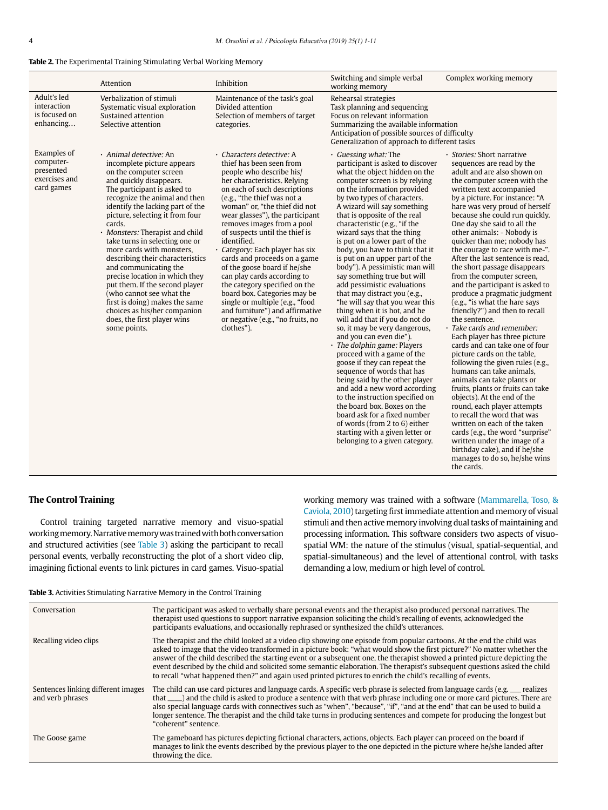<span id="page-3-0"></span>

|  | <b>Table 2.</b> The Experimental Training Stimulating Verbal Working Memory |  |
|--|-----------------------------------------------------------------------------|--|
|--|-----------------------------------------------------------------------------|--|

|                                                                      | Attention                                                                                                                                                                                                                                                                                                                                                                                                                                                                                                                                                                                                                                | Inhibition                                                                                                                                                                                                                                                                                                                                                                                                                                                                                                                                                                                                                                                      | Switching and simple verbal<br>working memory                                                                                                                                                                                                                                                                                                                                                                                                                                                                                                                                                                                                                                                                                                                                                                                                                                                                                                                                                                                                                                                                                      | Complex working memory                                                                                                                                                                                                                                                                                                                                                                                                                                                                                                                                                                                                                                                                                                                                                                                                                                                                                                                                                                                                                                                                                                                                                                             |
|----------------------------------------------------------------------|------------------------------------------------------------------------------------------------------------------------------------------------------------------------------------------------------------------------------------------------------------------------------------------------------------------------------------------------------------------------------------------------------------------------------------------------------------------------------------------------------------------------------------------------------------------------------------------------------------------------------------------|-----------------------------------------------------------------------------------------------------------------------------------------------------------------------------------------------------------------------------------------------------------------------------------------------------------------------------------------------------------------------------------------------------------------------------------------------------------------------------------------------------------------------------------------------------------------------------------------------------------------------------------------------------------------|------------------------------------------------------------------------------------------------------------------------------------------------------------------------------------------------------------------------------------------------------------------------------------------------------------------------------------------------------------------------------------------------------------------------------------------------------------------------------------------------------------------------------------------------------------------------------------------------------------------------------------------------------------------------------------------------------------------------------------------------------------------------------------------------------------------------------------------------------------------------------------------------------------------------------------------------------------------------------------------------------------------------------------------------------------------------------------------------------------------------------------|----------------------------------------------------------------------------------------------------------------------------------------------------------------------------------------------------------------------------------------------------------------------------------------------------------------------------------------------------------------------------------------------------------------------------------------------------------------------------------------------------------------------------------------------------------------------------------------------------------------------------------------------------------------------------------------------------------------------------------------------------------------------------------------------------------------------------------------------------------------------------------------------------------------------------------------------------------------------------------------------------------------------------------------------------------------------------------------------------------------------------------------------------------------------------------------------------|
| Adult's led<br>interaction<br>is focused on<br>enhancing             | Verbalization of stimuli<br>Systematic visual exploration<br>Sustained attention<br>Selective attention                                                                                                                                                                                                                                                                                                                                                                                                                                                                                                                                  | Maintenance of the task's goal<br>Divided attention<br>Selection of members of target<br>categories.                                                                                                                                                                                                                                                                                                                                                                                                                                                                                                                                                            | Rehearsal strategies<br>Task planning and sequencing<br>Focus on relevant information<br>Summarizing the available information<br>Anticipation of possible sources of difficulty<br>Generalization of approach to different tasks                                                                                                                                                                                                                                                                                                                                                                                                                                                                                                                                                                                                                                                                                                                                                                                                                                                                                                  |                                                                                                                                                                                                                                                                                                                                                                                                                                                                                                                                                                                                                                                                                                                                                                                                                                                                                                                                                                                                                                                                                                                                                                                                    |
| Examples of<br>computer-<br>presented<br>exercises and<br>card games | · Animal detective: An<br>incomplete picture appears<br>on the computer screen<br>and quickly disappears.<br>The participant is asked to<br>recognize the animal and then<br>identify the lacking part of the<br>picture, selecting it from four<br>cards.<br>Monsters: Therapist and child<br>take turns in selecting one or<br>more cards with monsters,<br>describing their characteristics<br>and communicating the<br>precise location in which they<br>put them. If the second player<br>(who cannot see what the<br>first is doing) makes the same<br>choices as his/her companion<br>does, the first player wins<br>some points. | · Characters detective: A<br>thief has been seen from<br>people who describe his/<br>her characteristics, Relying<br>on each of such descriptions<br>(e.g., "the thief was not a<br>woman" or, "the thief did not<br>wear glasses"), the participant<br>removes images from a pool<br>of suspects until the thief is<br>identified.<br>· Category: Each player has six<br>cards and proceeds on a game<br>of the goose board if he/she<br>can play cards according to<br>the category specified on the<br>board box. Categories may be<br>single or multiple (e.g., "food<br>and furniture") and affirmative<br>or negative (e.g., "no fruits, no<br>clothes"). | · Guessing what: The<br>participant is asked to discover<br>what the object hidden on the<br>computer screen is by relying<br>on the information provided<br>by two types of characters.<br>A wizard will say something<br>that is opposite of the real<br>characteristic (e.g., "if the<br>wizard says that the thing<br>is put on a lower part of the<br>body, you have to think that it<br>is put on an upper part of the<br>body"). A pessimistic man will<br>say something true but will<br>add pessimistic evaluations<br>that may distract you (e.g.,<br>"he will say that you wear this<br>thing when it is hot, and he<br>will add that if you do not do<br>so, it may be very dangerous,<br>and you can even die").<br>· The dolphin game: Players<br>proceed with a game of the<br>goose if they can repeat the<br>sequence of words that has<br>being said by the other player<br>and add a new word according<br>to the instruction specified on<br>the board box. Boxes on the<br>board ask for a fixed number<br>of words (from 2 to 6) either<br>starting with a given letter or<br>belonging to a given category. | · Stories: Short narrative<br>sequences are read by the<br>adult and are also shown on<br>the computer screen with the<br>written text accompanied<br>by a picture. For instance: "A<br>hare was very proud of herself<br>because she could run quickly.<br>One day she said to all the<br>other animals: - Nobody is<br>quicker than me; nobody has<br>the courage to race with me-".<br>After the last sentence is read.<br>the short passage disappears<br>from the computer screen,<br>and the participant is asked to<br>produce a pragmatic judgment<br>(e.g., "is what the hare says<br>friendly?") and then to recall<br>the sentence.<br>· Take cards and remember:<br>Each player has three picture<br>cards and can take one of four<br>picture cards on the table.<br>following the given rules (e.g.,<br>humans can take animals.<br>animals can take plants or<br>fruits, plants or fruits can take<br>objects). At the end of the<br>round, each player attempts<br>to recall the word that was<br>written on each of the taken<br>cards (e.g., the word "surprise"<br>written under the image of a<br>birthday cake), and if he/she<br>manages to do so, he/she wins<br>the cards. |

## **The Control Training**

Control training targeted narrative memory and visuo-spatial working memory. Narrative memory was trained with both conversation and structured activities (see [Table 3](#page-3-1)) asking the participant to recall personal events, verbally reconstructing the plot of a short video clip, imagining fictional events to link pictures in card games. Visuo-spatial working memory was trained with a software [\(Mammarella, Toso, &](#page-9-31) [Caviola, 2010](#page-9-31)) targeting first immediate attention and memory of visual stimuli and then active memory involving dual tasks of maintaining and processing information. This software considers two aspects of visuospatial WM: the nature of the stimulus (visual, spatial-sequential, and spatial-simultaneous) and the level of attentional control, with tasks demanding a low, medium or high level of control.

<span id="page-3-1"></span>

|  | <b>Table 3.</b> Activities Stimulating Narrative Memory in the Control Training |
|--|---------------------------------------------------------------------------------|
|  |                                                                                 |
|  |                                                                                 |
|  |                                                                                 |

| Conversation                                           | The participant was asked to verbally share personal events and the therapist also produced personal narratives. The<br>therapist used questions to support narrative expansion soliciting the child's recalling of events, acknowledged the<br>participants evaluations, and occasionally rephrased or synthesized the child's utterances.                                                                                                                                                                                                                                                                                 |
|--------------------------------------------------------|-----------------------------------------------------------------------------------------------------------------------------------------------------------------------------------------------------------------------------------------------------------------------------------------------------------------------------------------------------------------------------------------------------------------------------------------------------------------------------------------------------------------------------------------------------------------------------------------------------------------------------|
| Recalling video clips                                  | The therapist and the child looked at a video clip showing one episode from popular cartoons. At the end the child was<br>asked to image that the video transformed in a picture book: "what would show the first picture?" No matter whether the<br>answer of the child described the starting event or a subsequent one, the therapist showed a printed picture depicting the<br>event described by the child and solicited some semantic elaboration. The therapist's subsequent questions asked the child<br>to recall "what happened then?" and again used printed pictures to enrich the child's recalling of events. |
| Sentences linking different images<br>and verb phrases | The child can use card pictures and language cards. A specific verb phrase is selected from language cards (e.g. __ realizes<br>that ____) and the child is asked to produce a sentence with that verb phrase including one or more card pictures. There are<br>also special language cards with connectives such as "when", "because", "if", "and at the end" that can be used to build a<br>longer sentence. The therapist and the child take turns in producing sentences and compete for producing the longest but<br>"coherent" sentence.                                                                              |
| The Goose game                                         | The gameboard has pictures depicting fictional characters, actions, objects. Each player can proceed on the board if<br>manages to link the events described by the previous player to the one depicted in the picture where he/she landed after<br>throwing the dice.                                                                                                                                                                                                                                                                                                                                                      |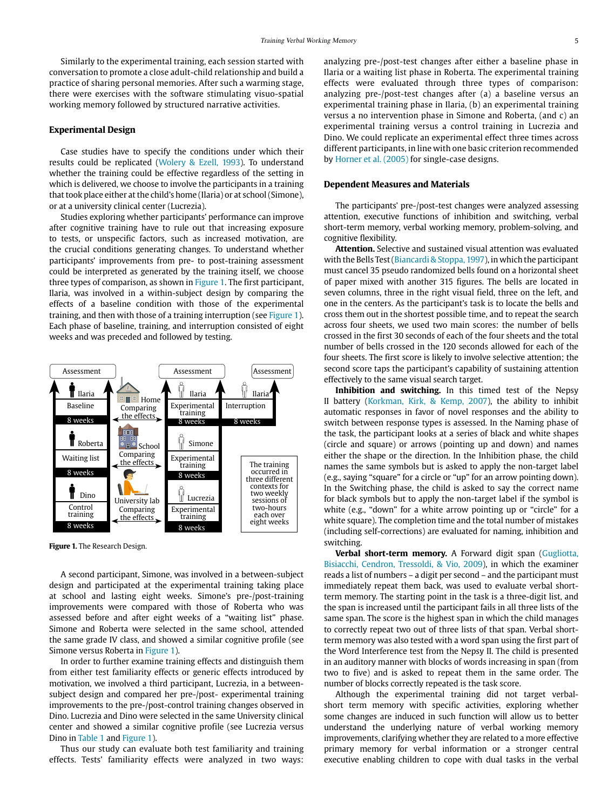Similarly to the experimental training, each session started with conversation to promote a close adult-child relationship and build a practice of sharing personal memories. After such a warming stage, there were exercises with the software stimulating visuo-spatial working memory followed by structured narrative activities.

#### **Experimental Design**

Case studies have to specify the conditions under which their results could be replicated [\(Wolery & Ezell, 1993](#page-10-8)). To understand whether the training could be effective regardless of the setting in which is delivered, we choose to involve the participants in a training that took place either at the child's home (Ilaria) or at school (Simone), or at a university clinical center (Lucrezia).

Studies exploring whether participants' performance can improve after cognitive training have to rule out that increasing exposure to tests, or unspecific factors, such as increased motivation, are the crucial conditions generating changes. To understand whether participants' improvements from pre- to post-training assessment could be interpreted as generated by the training itself, we choose three types of comparison, as shown in [Figure 1](#page-4-0). The first participant, Ilaria, was involved in a within-subject design by comparing the effects of a baseline condition with those of the experimental training, and then with those of a training interruption (see [Figure 1\)](#page-4-0). Each phase of baseline, training, and interruption consisted of eight weeks and was preceded and followed by testing.



<span id="page-4-0"></span>**Figure 1.** The Research Design.

A second participant, Simone, was involved in a between-subject design and participated at the experimental training taking place at school and lasting eight weeks. Simone's pre-/post-training improvements were compared with those of Roberta who was assessed before and after eight weeks of a "waiting list" phase. Simone and Roberta were selected in the same school, attended the same grade IV class, and showed a similar cognitive profile (see Simone versus Roberta in [Figure 1\)](#page-4-0).

In order to further examine training effects and distinguish them from either test familiarity effects or generic effects introduced by motivation, we involved a third participant, Lucrezia, in a betweensubject design and compared her pre-/post- experimental training improvements to the pre-/post-control training changes observed in Dino. Lucrezia and Dino were selected in the same University clinical center and showed a similar cognitive profile (see Lucrezia versus Dino in [Table 1](#page-2-0) and [Figure 1](#page-4-0)).

Thus our study can evaluate both test familiarity and training effects. Tests' familiarity effects were analyzed in two ways:

analyzing pre-/post-test changes after either a baseline phase in Ilaria or a waiting list phase in Roberta. The experimental training effects were evaluated through three types of comparison: analyzing pre-/post-test changes after (a) a baseline versus an experimental training phase in Ilaria, (b) an experimental training versus a no intervention phase in Simone and Roberta, (and c) an experimental training versus a control training in Lucrezia and Dino. We could replicate an experimental effect three times across different participants, in line with one basic criterion recommended by [Horner et al. \(2005\)](#page-9-32) for single-case designs.

### **Dependent Measures and Materials**

The participants' pre-/post-test changes were analyzed assessing attention, executive functions of inhibition and switching, verbal short-term memory, verbal working memory, problem-solving, and cognitive flexibility.

**Attention.** Selective and sustained visual attention was evaluated with the Bells Test ([Biancardi & Stoppa, 1997\)](#page-9-33), in which the participant must cancel 35 pseudo randomized bells found on a horizontal sheet of paper mixed with another 315 figures. The bells are located in seven columns, three in the right visual field, three on the left, and one in the centers. As the participant's task is to locate the bells and cross them out in the shortest possible time, and to repeat the search across four sheets, we used two main scores: the number of bells crossed in the first 30 seconds of each of the four sheets and the total number of bells crossed in the 120 seconds allowed for each of the four sheets. The first score is likely to involve selective attention; the second score taps the participant's capability of sustaining attention effectively to the same visual search target.

**Inhibition and switching.** In this timed test of the Nepsy II battery ([Korkman, Kirk, & Kemp, 2007\)](#page-9-30), the ability to inhibit automatic responses in favor of novel responses and the ability to switch between response types is assessed. In the Naming phase of the task, the participant looks at a series of black and white shapes (circle and square) or arrows (pointing up and down) and names either the shape or the direction. In the Inhibition phase, the child names the same symbols but is asked to apply the non-target label (e.g., saying "square" for a circle or "up" for an arrow pointing down). In the Switching phase, the child is asked to say the correct name for black symbols but to apply the non-target label if the symbol is white (e.g., "down" for a white arrow pointing up or "circle" for a white square). The completion time and the total number of mistakes (including self-corrections) are evaluated for naming, inhibition and switching.

**Verbal short-term memory.** A Forward digit span [\(Gugliotta,](#page-9-34)  [Bisiacchi, Cendron, Tressoldi, & Vio, 2009\)](#page-9-34), in which the examiner reads a list of numbers – a digit per second – and the participant must immediately repeat them back, was used to evaluate verbal shortterm memory. The starting point in the task is a three-digit list, and the span is increased until the participant fails in all three lists of the same span. The score is the highest span in which the child manages to correctly repeat two out of three lists of that span. Verbal shortterm memory was also tested with a word span using the first part of the Word Interference test from the Nepsy II. The child is presented in an auditory manner with blocks of words increasing in span (from two to five) and is asked to repeat them in the same order. The number of blocks correctly repeated is the task score.

Although the experimental training did not target verbalshort term memory with specific activities, exploring whether some changes are induced in such function will allow us to better understand the underlying nature of verbal working memory improvements, clarifying whether they are related to a more effective primary memory for verbal information or a stronger central executive enabling children to cope with dual tasks in the verbal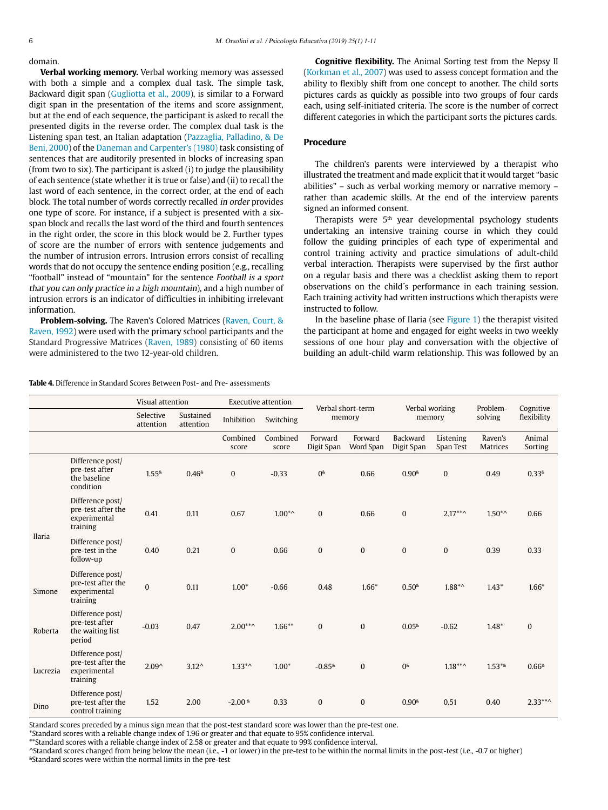domain.

**Verbal working memory.** Verbal working memory was assessed with both a simple and a complex dual task. The simple task, Backward digit span ([Gugliotta et al., 2009](#page-9-34)), is similar to a Forward digit span in the presentation of the items and score assignment, but at the end of each sequence, the participant is asked to recall the presented digits in the reverse order. The complex dual task is the Listening span test, an Italian adaptation ([Pazzaglia, Palladino, & De](#page-9-35)  [Beni, 2000\)](#page-9-35) of the [Daneman and Carpenter's \(1980\)](#page-9-36) task consisting of sentences that are auditorily presented in blocks of increasing span (from two to six). The participant is asked (i) to judge the plausibility of each sentence (state whether it is true or false) and (ii) to recall the last word of each sentence, in the correct order, at the end of each block. The total number of words correctly recalled in order provides one type of score. For instance, if a subject is presented with a sixspan block and recalls the last word of the third and fourth sentences in the right order, the score in this block would be 2. Further types of score are the number of errors with sentence judgements and the number of intrusion errors. Intrusion errors consist of recalling words that do not occupy the sentence ending position (e.g., recalling "football" instead of "mountain" for the sentence Football is a sport that you can only practice in a high mountain), and a high number of intrusion errors is an indicator of difficulties in inhibiting irrelevant information.

**Problem-solving.** The Raven's Colored Matrices [\(Raven, Court, &](#page-9-37)  [Raven, 1992\)](#page-9-37) were used with the primary school participants and the Standard Progressive Matrices [\(Raven, 1989\)](#page-9-38) consisting of 60 items were administered to the two 12-year-old children.

#### <span id="page-5-0"></span>**Table 4.** Difference in Standard Scores Between Post- and Pre- assessments

**Cognitive flexibility.** The Animal Sorting test from the Nepsy II ([Korkman et al., 2007\)](#page-9-30) was used to assess concept formation and the ability to flexibly shift from one concept to another. The child sorts pictures cards as quickly as possible into two groups of four cards each, using self-initiated criteria. The score is the number of correct different categories in which the participant sorts the pictures cards.

## **Procedure**

The children's parents were interviewed by a therapist who illustrated the treatment and made explicit that it would target "basic abilities" – such as verbal working memory or narrative memory – rather than academic skills. At the end of the interview parents signed an informed consent.

Therapists were 5th year developmental psychology students undertaking an intensive training course in which they could follow the guiding principles of each type of experimental and control training activity and practice simulations of adult-child verbal interaction. Therapists were supervised by the first author on a regular basis and there was a checklist asking them to report observations on the child´s performance in each training session. Each training activity had written instructions which therapists were instructed to follow.

In the baseline phase of Ilaria (see [Figure 1\)](#page-4-0) the therapist visited the participant at home and engaged for eight weeks in two weekly sessions of one hour play and conversation with the objective of building an adult-child warm relationship. This was followed by an

|          |                                                                    | Visual attention       | <b>Executive attention</b> |                    |                   |                                                         |                      |                        |                        |                            |                   |
|----------|--------------------------------------------------------------------|------------------------|----------------------------|--------------------|-------------------|---------------------------------------------------------|----------------------|------------------------|------------------------|----------------------------|-------------------|
|          |                                                                    | Selective<br>attention | Sustained<br>attention     | Inhibition         | Switching         | Verbal short-term<br>Verbal working<br>memory<br>memory |                      |                        | Problem-<br>solving    | Cognitive<br>flexibility   |                   |
|          |                                                                    |                        |                            | Combined<br>score  | Combined<br>score | Forward<br>Digit Span                                   | Forward<br>Word Span | Backward<br>Digit Span | Listening<br>Span Test | Raven's<br><b>Matrices</b> | Animal<br>Sorting |
|          | Difference post/<br>pre-test after<br>the baseline<br>condition    | $1.55*$                | $0.46*$                    | $\mathbf{0}$       | $-0.33$           | $0^{\circ}$                                             | 0.66                 | $0.90*$                | $\mathbf{0}$           | 0.49                       | $0.33*$           |
|          | Difference post/<br>pre-test after the<br>experimental<br>training | 0.41                   | 0.11                       | 0.67               | $1.00^{*\wedge}$  | $\mathbf{0}$                                            | 0.66                 | $\mathbf{0}$           | $2.17***$              | $1.50^{*\wedge}$           | 0.66              |
| Ilaria   | Difference post/<br>pre-test in the<br>follow-up                   | 0.40                   | 0.21                       | $\mathbf{0}$       | 0.66              | $\bf{0}$                                                | $\pmb{0}$            | $\mathbf{0}$           | $\Omega$               | 0.39                       | 0.33              |
| Simone   | Difference post/<br>pre-test after the<br>experimental<br>training | $\mathbf{0}$           | 0.11                       | $1.00*$            | $-0.66$           | 0.48                                                    | $1.66*$              | $0.50*$                | $1.88**$               | $1.43*$                    | $1.66*$           |
| Roberta  | Difference post/<br>pre-test after<br>the waiting list<br>period   | $-0.03$                | 0.47                       | $2.00***$          | $1.66***$         | $\mathbf{0}$                                            | $\mathbf{0}$         | $0.05^{8}$             | $-0.62$                | $1.48*$                    | $\mathbf{0}$      |
| Lucrezia | Difference post/<br>pre-test after the<br>experimental<br>training | $2.09^{\wedge}$        | $3.12^{\wedge}$            | $1.33**$           | $1.00*$           | $-0.85$ <sup>&amp;</sup>                                | $\mathbf{0}$         | $0^{\&}$               | $1.18***$              | $1.53**$                   | $0.66*$           |
| Dino     | Difference post/<br>pre-test after the<br>control training         | 1.52                   | 2.00                       | $-2.00$ $\text{A}$ | 0.33              | $\bf{0}$                                                | $\boldsymbol{0}$     | $0.90*$                | 0.51                   | 0.40                       | $2.33***$         |

Standard scores preceded by a minus sign mean that the post-test standard score was lower than the pre-test one.

\*Standard scores with a reliable change index of 1.96 or greater and that equate to 95% confidence interval.

\*\*Standard scores with a reliable change index of 2.58 or greater and that equate to 99% confidence interval.

^Standard scores changed from being below the mean (i.e., -1 or lower) in the pre-test to be within the normal limits in the post-test (i.e., -0.7 or higher) &Standard scores were within the normal limits in the pre-test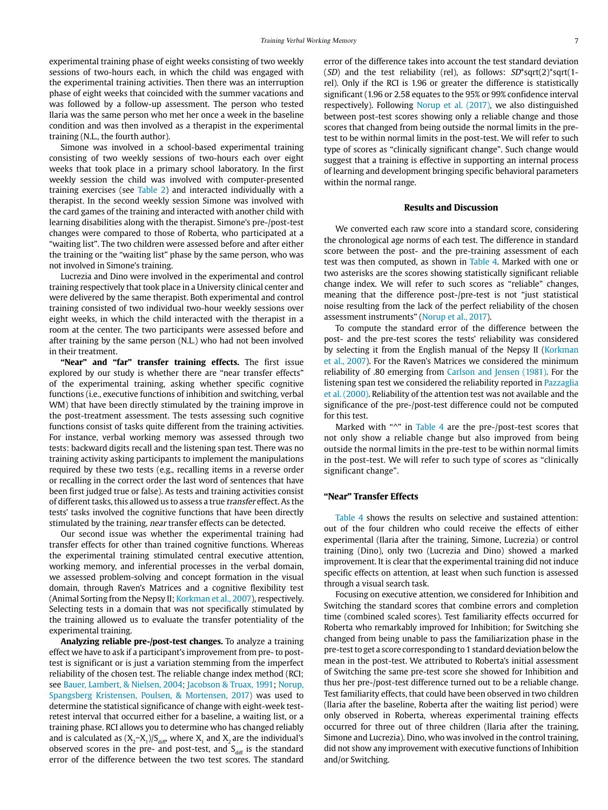experimental training phase of eight weeks consisting of two weekly sessions of two-hours each, in which the child was engaged with the experimental training activities. Then there was an interruption phase of eight weeks that coincided with the summer vacations and was followed by a follow-up assessment. The person who tested Ilaria was the same person who met her once a week in the baseline condition and was then involved as a therapist in the experimental training (N.L., the fourth author).

Simone was involved in a school-based experimental training consisting of two weekly sessions of two-hours each over eight weeks that took place in a primary school laboratory. In the first weekly session the child was involved with computer-presented training exercises (see [Table 2](#page-3-0)) and interacted individually with a therapist. In the second weekly session Simone was involved with the card games of the training and interacted with another child with learning disabilities along with the therapist. Simone's pre-/post-test changes were compared to those of Roberta, who participated at a "waiting list". The two children were assessed before and after either the training or the "waiting list" phase by the same person, who was not involved in Simone's training.

Lucrezia and Dino were involved in the experimental and control training respectively that took place in a University clinical center and were delivered by the same therapist. Both experimental and control training consisted of two individual two-hour weekly sessions over eight weeks, in which the child interacted with the therapist in a room at the center. The two participants were assessed before and after training by the same person (N.L.) who had not been involved in their treatment.

**"Near" and "far" transfer training effects.** The first issue explored by our study is whether there are "near transfer effects" of the experimental training, asking whether specific cognitive functions (i.e., executive functions of inhibition and switching, verbal WM) that have been directly stimulated by the training improve in the post-treatment assessment. The tests assessing such cognitive functions consist of tasks quite different from the training activities. For instance, verbal working memory was assessed through two tests: backward digits recall and the listening span test. There was no training activity asking participants to implement the manipulations required by these two tests (e.g., recalling items in a reverse order or recalling in the correct order the last word of sentences that have been first judged true or false). As tests and training activities consist of different tasks, this allowed us to assess a true transfer effect. As the tests' tasks involved the cognitive functions that have been directly stimulated by the training, near transfer effects can be detected.

Our second issue was whether the experimental training had transfer effects for other than trained cognitive functions. Whereas the experimental training stimulated central executive attention, working memory, and inferential processes in the verbal domain, we assessed problem-solving and concept formation in the visual domain, through Raven's Matrices and a cognitive flexibility test (Animal Sorting from the Nepsy II; [Korkman et al., 2007](#page-9-30)), respectively. Selecting tests in a domain that was not specifically stimulated by the training allowed us to evaluate the transfer potentiality of the experimental training.

**Analyzing reliable pre-/post-test changes.** To analyze a training effect we have to ask if a participant's improvement from pre- to posttest is significant or is just a variation stemming from the imperfect reliability of the chosen test. The reliable change index method (RCI; see [Bauer, Lambert, & Nielsen, 2004;](#page-9-39) [Jacobson & Truax, 1991;](#page-9-40) [Norup,](#page-9-41)  [Spangsberg Kristensen, Poulsen, & Mortensen, 2017](#page-9-41)) was used to determine the statistical significance of change with eight-week testretest interval that occurred either for a baseline, a waiting list, or a training phase. RCI allows you to determine who has changed reliably and is calculated as  $(X_2-X_1)/S_{diff}$ , where  $X_1$  and  $X_2$  are the individual's observed scores in the pre- and post-test, and  $S_{diff}$  is the standard error of the difference between the two test scores. The standard error of the difference takes into account the test standard deviation (SD) and the test reliability (rel), as follows:  $SD*sqrt(2)*sqrt(1$ rel). Only if the RCI is 1.96 or greater the difference is statistically significant (1.96 or 2.58 equates to the 95% or 99% confidence interval respectively). Following [Norup et al. \(2017\)](#page-9-41), we also distinguished between post-test scores showing only a reliable change and those scores that changed from being outside the normal limits in the pretest to be within normal limits in the post-test. We will refer to such type of scores as "clinically significant change". Such change would suggest that a training is effective in supporting an internal process of learning and development bringing specific behavioral parameters within the normal range.

#### **Results and Discussion**

We converted each raw score into a standard score, considering the chronological age norms of each test. The difference in standard score between the post- and the pre-training assessment of each test was then computed, as shown in [Table 4](#page-5-0). Marked with one or two asterisks are the scores showing statistically significant reliable change index. We will refer to such scores as "reliable" changes, meaning that the difference post-/pre-test is not "just statistical noise resulting from the lack of the perfect reliability of the chosen assessment instruments" ([Norup et al., 2017](#page-9-41)).

To compute the standard error of the difference between the post- and the pre-test scores the tests' reliability was considered by selecting it from the English manual of the Nepsy II ([Korkman](#page-9-30)  [et al., 2007\)](#page-9-30). For the Raven's Matrices we considered the minimum reliability of .80 emerging from [Carlson and Jensen \(1981\)](#page-9-42). For the listening span test we considered the reliability reported in [Pazzaglia](#page-9-35)  [et al. \(2000\).](#page-9-35) Reliability of the attention test was not available and the significance of the pre-/post-test difference could not be computed for this test.

Marked with "^" in [Table 4](#page-5-0) are the pre-/post-test scores that not only show a reliable change but also improved from being outside the normal limits in the pre-test to be within normal limits in the post-test. We will refer to such type of scores as "clinically significant change".

#### **"Near" Transfer Effects**

[Table 4](#page-5-0) shows the results on selective and sustained attention: out of the four children who could receive the effects of either experimental (Ilaria after the training, Simone, Lucrezia) or control training (Dino), only two (Lucrezia and Dino) showed a marked improvement. It is clear that the experimental training did not induce specific effects on attention, at least when such function is assessed through a visual search task.

Focusing on executive attention, we considered for Inhibition and Switching the standard scores that combine errors and completion time (combined scaled scores). Test familiarity effects occurred for Roberta who remarkably improved for Inhibition; for Switching she changed from being unable to pass the familiarization phase in the pre-test to get a score corresponding to 1 standard deviation below the mean in the post-test. We attributed to Roberta's initial assessment of Switching the same pre-test score she showed for Inhibition and thus her pre-/post-test difference turned out to be a reliable change. Test familiarity effects, that could have been observed in two children (Ilaria after the baseline, Roberta after the waiting list period) were only observed in Roberta, whereas experimental training effects occurred for three out of three children (Ilaria after the training, Simone and Lucrezia). Dino, who was involved in the control training, did not show any improvement with executive functions of Inhibition and/or Switching.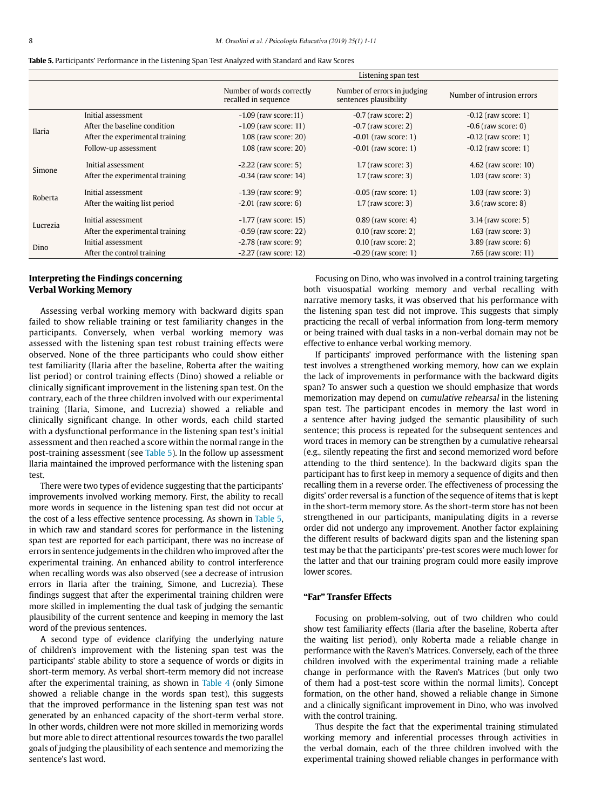<span id="page-7-0"></span>

|  |  | Table 5. Participants' Performance in the Listening Span Test Analyzed with Standard and Raw Scores |
|--|--|-----------------------------------------------------------------------------------------------------|
|  |  |                                                                                                     |

|          |                                                       | Listening span test                                |                                                       |                                               |  |
|----------|-------------------------------------------------------|----------------------------------------------------|-------------------------------------------------------|-----------------------------------------------|--|
|          |                                                       | Number of words correctly<br>recalled in sequence  | Number of errors in judging<br>sentences plausibility | Number of intrusion errors                    |  |
|          | Initial assessment                                    | $-1.09$ (raw score: 11)                            | $-0.7$ (raw score: 2)                                 | $-0.12$ (raw score: 1)                        |  |
| Ilaria   | After the baseline condition                          | $-1.09$ (raw score: 11)                            | $-0.7$ (raw score: 2)                                 | $-0.6$ (raw score: 0)                         |  |
|          | After the experimental training                       | $1.08$ (raw score: 20)                             | $-0.01$ (raw score: 1)                                | $-0.12$ (raw score: 1)                        |  |
|          | Follow-up assessment                                  | $1.08$ (raw score: 20)                             | $-0.01$ (raw score: 1)                                | $-0.12$ (raw score: 1)                        |  |
| Simone   | Initial assessment<br>After the experimental training | $-2.22$ (raw score: 5)<br>$-0.34$ (raw score: 14)  | $1.7$ (raw score: 3)<br>$1.7$ (raw score: 3)          | 4.62 (raw score: 10)<br>$1.03$ (raw score: 3) |  |
| Roberta  | Initial assessment<br>After the waiting list period   | $-1.39$ (raw score: 9)<br>$-2.01$ (raw score: 6)   | $-0.05$ (raw score: 1)<br>$1.7$ (raw score: 3)        | $1.03$ (raw score: 3)<br>$3.6$ (raw score: 8) |  |
| Lucrezia | Initial assessment<br>After the experimental training | $-1.77$ (raw score: 15)<br>$-0.59$ (raw score: 22) | $0.89$ (raw score: 4)<br>$0.10$ (raw score: 2)        | 3.14 (raw score: 5)<br>$1.63$ (raw score: 3)  |  |
| Dino     | Initial assessment<br>After the control training      | $-2.78$ (raw score: 9)<br>$-2.27$ (raw score: 12)  | $0.10$ (raw score: 2)<br>$-0.29$ (raw score: 1)       | $3.89$ (raw score: 6)<br>7.65 (raw score: 11) |  |

## **Interpreting the Findings concerning Verbal Working Memory**

Assessing verbal working memory with backward digits span failed to show reliable training or test familiarity changes in the participants. Conversely, when verbal working memory was assessed with the listening span test robust training effects were observed. None of the three participants who could show either test familiarity (Ilaria after the baseline, Roberta after the waiting list period) or control training effects (Dino) showed a reliable or clinically significant improvement in the listening span test. On the contrary, each of the three children involved with our experimental training (Ilaria, Simone, and Lucrezia) showed a reliable and clinically significant change. In other words, each child started with a dysfunctional performance in the listening span test's initial assessment and then reached a score within the normal range in the post-training assessment (see [Table 5\)](#page-7-0). In the follow up assessment Ilaria maintained the improved performance with the listening span test.

There were two types of evidence suggesting that the participants' improvements involved working memory. First, the ability to recall more words in sequence in the listening span test did not occur at the cost of a less effective sentence processing. As shown in [Table 5,](#page-7-0) in which raw and standard scores for performance in the listening span test are reported for each participant, there was no increase of errors in sentence judgements in the children who improved after the experimental training. An enhanced ability to control interference when recalling words was also observed (see a decrease of intrusion errors in Ilaria after the training, Simone, and Lucrezia). These findings suggest that after the experimental training children were more skilled in implementing the dual task of judging the semantic plausibility of the current sentence and keeping in memory the last word of the previous sentences.

A second type of evidence clarifying the underlying nature of children's improvement with the listening span test was the participants' stable ability to store a sequence of words or digits in short-term memory. As verbal short-term memory did not increase after the experimental training, as shown in [Table 4](#page-5-0) (only Simone showed a reliable change in the words span test), this suggests that the improved performance in the listening span test was not generated by an enhanced capacity of the short-term verbal store. In other words, children were not more skilled in memorizing words but more able to direct attentional resources towards the two parallel goals of judging the plausibility of each sentence and memorizing the sentence's last word.

Focusing on Dino, who was involved in a control training targeting both visuospatial working memory and verbal recalling with narrative memory tasks, it was observed that his performance with the listening span test did not improve. This suggests that simply practicing the recall of verbal information from long-term memory or being trained with dual tasks in a non-verbal domain may not be effective to enhance verbal working memory.

If participants' improved performance with the listening span test involves a strengthened working memory, how can we explain the lack of improvements in performance with the backward digits span? To answer such a question we should emphasize that words memorization may depend on cumulative rehearsal in the listening span test. The participant encodes in memory the last word in a sentence after having judged the semantic plausibility of such sentence; this process is repeated for the subsequent sentences and word traces in memory can be strengthen by a cumulative rehearsal (e.g., silently repeating the first and second memorized word before attending to the third sentence). In the backward digits span the participant has to first keep in memory a sequence of digits and then recalling them in a reverse order. The effectiveness of processing the digits' order reversal is a function of the sequence of items that is kept in the short-term memory store. As the short-term store has not been strengthened in our participants, manipulating digits in a reverse order did not undergo any improvement. Another factor explaining the different results of backward digits span and the listening span test may be that the participants' pre-test scores were much lower for the latter and that our training program could more easily improve lower scores.

## **"Far" Transfer Effects**

Focusing on problem-solving, out of two children who could show test familiarity effects (Ilaria after the baseline, Roberta after the waiting list period), only Roberta made a reliable change in performance with the Raven's Matrices. Conversely, each of the three children involved with the experimental training made a reliable change in performance with the Raven's Matrices (but only two of them had a post-test score within the normal limits). Concept formation, on the other hand, showed a reliable change in Simone and a clinically significant improvement in Dino, who was involved with the control training.

Thus despite the fact that the experimental training stimulated working memory and inferential processes through activities in the verbal domain, each of the three children involved with the experimental training showed reliable changes in performance with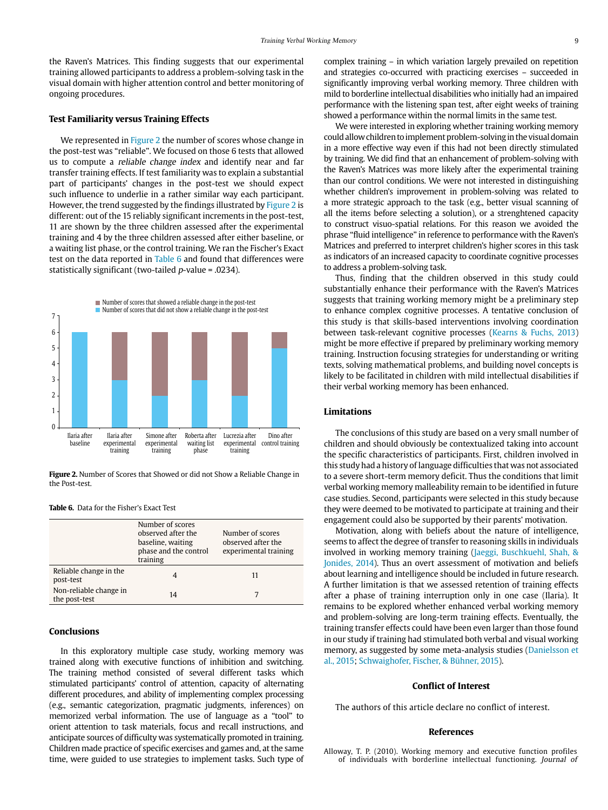the Raven's Matrices. This finding suggests that our experimental training allowed participants to address a problem-solving task in the visual domain with higher attention control and better monitoring of ongoing procedures.

## **Test Familiarity versus Training Effects**

We represented in [Figure 2](#page-8-1) the number of scores whose change in the post-test was "reliable". We focused on those 6 tests that allowed us to compute a reliable change index and identify near and far transfer training effects. If test familiarity was to explain a substantial part of participants' changes in the post-test we should expect such influence to underlie in a rather similar way each participant. However, the trend suggested by the findings illustrated by [Figure 2](#page-8-1) is different: out of the 15 reliably significant increments in the post-test, 11 are shown by the three children assessed after the experimental training and 4 by the three children assessed after either baseline, or a waiting list phase, or the control training. We ran the Fischer's Exact test on the data reported in [Table 6](#page-8-2) and found that differences were statistically significant (two-tailed p-value = .0234).



<span id="page-8-1"></span>**Figure 2.** Number of Scores that Showed or did not Show a Reliable Change in the Post-test.

#### <span id="page-8-2"></span>**Table 6.** Data for the Fisher's Exact Test

|                                         | Number of scores<br>observed after the<br>baseline, waiting<br>phase and the control<br>training | Number of scores<br>observed after the<br>experimental training |
|-----------------------------------------|--------------------------------------------------------------------------------------------------|-----------------------------------------------------------------|
| Reliable change in the<br>post-test     |                                                                                                  | 11                                                              |
| Non-reliable change in<br>the post-test | 14                                                                                               |                                                                 |

### **Conclusions**

In this exploratory multiple case study, working memory was trained along with executive functions of inhibition and switching. The training method consisted of several different tasks which stimulated participants' control of attention, capacity of alternating different procedures, and ability of implementing complex processing (e.g., semantic categorization, pragmatic judgments, inferences) on memorized verbal information. The use of language as a "tool" to orient attention to task materials, focus and recall instructions, and anticipate sources of difficulty was systematically promoted in training. Children made practice of specific exercises and games and, at the same time, were guided to use strategies to implement tasks. Such type of complex training – in which variation largely prevailed on repetition and strategies co-occurred with practicing exercises – succeeded in significantly improving verbal working memory. Three children with mild to borderline intellectual disabilities who initially had an impaired performance with the listening span test, after eight weeks of training showed a performance within the normal limits in the same test.

We were interested in exploring whether training working memory could allow children to implement problem-solving in the visual domain in a more effective way even if this had not been directly stimulated by training. We did find that an enhancement of problem-solving with the Raven's Matrices was more likely after the experimental training than our control conditions. We were not interested in distinguishing whether children's improvement in problem-solving was related to a more strategic approach to the task (e.g., better visual scanning of all the items before selecting a solution), or a strenghtened capacity to construct visuo-spatial relations. For this reason we avoided the phrase "fluid intelligence" in reference to performance with the Raven's Matrices and preferred to interpret children's higher scores in this task as indicators of an increased capacity to coordinate cognitive processes to address a problem-solving task.

Thus, finding that the children observed in this study could substantially enhance their performance with the Raven's Matrices suggests that training working memory might be a preliminary step to enhance complex cognitive processes. A tentative conclusion of this study is that skills-based interventions involving coordination between task-relevant cognitive processes ([Kearns & Fuchs, 2013\)](#page-9-43) might be more effective if prepared by preliminary working memory training. Instruction focusing strategies for understanding or writing texts, solving mathematical problems, and building novel concepts is likely to be facilitated in children with mild intellectual disabilities if their verbal working memory has been enhanced.

## **Limitations**

The conclusions of this study are based on a very small number of children and should obviously be contextualized taking into account the specific characteristics of participants. First, children involved in this study had a history of language difficulties that was not associated to a severe short-term memory deficit. Thus the conditions that limit verbal working memory malleability remain to be identified in future case studies. Second, participants were selected in this study because they were deemed to be motivated to participate at training and their engagement could also be supported by their parents' motivation.

Motivation, along with beliefs about the nature of intelligence, seems to affect the degree of transfer to reasoning skills in individuals involved in working memory training ([Jaeggi, Buschkuehl, Shah, &](#page-9-44)  [Jonides, 2014](#page-9-44)). Thus an overt assessment of motivation and beliefs about learning and intelligence should be included in future research. A further limitation is that we assessed retention of training effects after a phase of training interruption only in one case (Ilaria). It remains to be explored whether enhanced verbal working memory and problem-solving are long-term training effects. Eventually, the training transfer effects could have been even larger than those found in our study if training had stimulated both verbal and visual working memory, as suggested by some meta-analysis studies ([Danielsson et](#page-9-25)  [al., 2015](#page-9-25); [Schwaighofer, F](#page-10-9)ischer, & Bühner, 2015).

#### **Conflict of Interest**

The authors of this article declare no conflict of interest.

#### **References**

<span id="page-8-0"></span>Alloway, T. P. (2010). Working memory and executive function profiles of individuals with borderline intellectual functioning. Journal of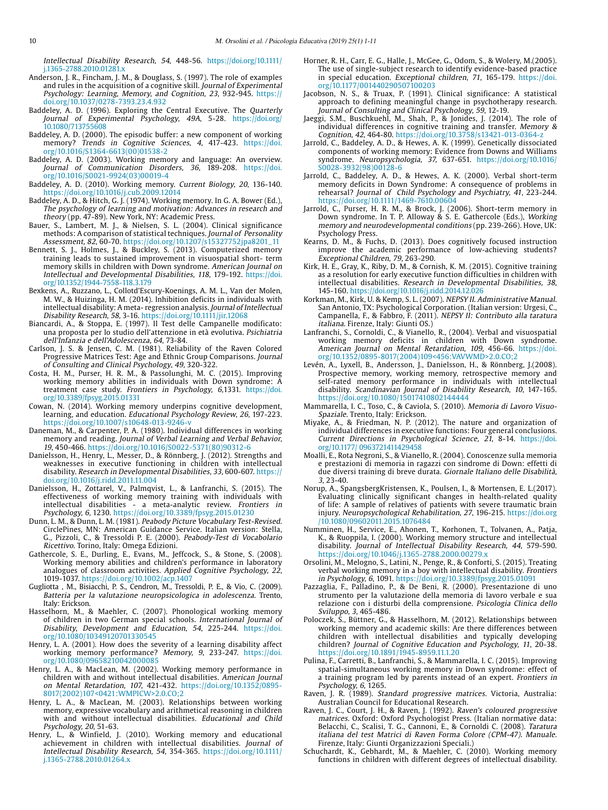Intellectual Disability Research, 54, 448-56. [https://doi.org/10.1111/](https://doi.org/10.1111/j.1365-2788.2010.01281.x) [j.1365-2788.2010.01281.x](https://doi.org/10.1111/j.1365-2788.2010.01281.x)

- <span id="page-9-0"></span>Anderson, J. R., Fincham, J. M., & Douglass, S. (1997). The role of examples and rules in the acquisition of a cognitive skill. Journal of Experimental Psychology: Learning, Memory, and Cognition, 23, 932-945. https:// doi.org/[10.1037/0278-7393.23.4.932](http://psycnet.apa.org/doi/10.1037/0278-7393.23.4.932)
- <span id="page-9-4"></span>Baddeley, A. D. (1996). Exploring the Central Executive. The Quarterly Journal of Experimental Psychology, 49A, 5-28. [https://doi.org/](https://doi.org/ 10.1080/713755608)  [10.1080/713755608](https://doi.org/ 10.1080/713755608)
- <span id="page-9-2"></span>Baddeley, A. D. (2000). The episodic buffer: a new component of working memory? Trends in Cognitive Sciences, 4, 417-423. [https://doi.](https://doi.org/10.1016/S1364-6613(00)01538-2) [org/10.1016/S1364-6613\(](https://doi.org/10.1016/S1364-6613(00)01538-2)00)01538-2
- <span id="page-9-19"></span>Baddeley, A. D. (2003). Working memory and language: An overview. Journal of Communication Disorders, 36, 189-208. [https://doi.](https://doi.org/10.1016/S0021-9924(03)00019-4) [org/](https://doi.org/10.1016/S0021-9924(03)00019-4)10.1016/S0021-9924(03)00019-4
- Baddeley, A. D. (2010). Working memory. Current Biology, 20, 136-140. <https://doi.org/10.1016/j.cub.2009.12014>
- <span id="page-9-3"></span>Baddeley, A. D., & Hitch, G. J. (1974). Working memory. In G. A. Bower (Ed.), The psychology of learning and [motivation](http://www.scholarpedia.org/article/Motivation): Advances in research and theory (pp. 47-89). New York, NY: Academic Press.
- <span id="page-9-39"></span>Bauer, S., Lambert, M. J., & Nielsen, S. L. (2004). Clinical significance methods: A comparison of statistical techniques. Journal of Personality Assessment, 82, 60-70. https://doi.org/10.1207/s15327752jpa8201\_11
- <span id="page-9-24"></span>Bennett, S. J., Holmes, J., & Buckley, S. (2013). Computerized memory training leads to sustained improvement in visuospatial short- term memory skills in children with Down syndrome. American Journal on Intellectual and Developmental Disabilities, 118, 179-192. [https://doi.](https://doi.org/10.1352/1944-7558-118.3.179) [org/10.1352/1944-7558-118.3.179](https://doi.org/10.1352/1944-7558-118.3.179)
- <span id="page-9-8"></span>Bexkens, A., Ruzzano, L., Collotd'Escury-Koenings, A. M. L., Van der Molen, M. W., & Huizinga, H. M. (2014). Inhibition deficits in individuals with intellectual disability: A meta- regression analysis. Journal of Intellectual Disability Research, 58, 3-16. https://doi.org/10.1111/jir.12068
- <span id="page-9-33"></span>Biancardi, A., & Stoppa, E. (1997). Il Test delle Campanelle modificato: una proposta per lo studio dell'attenzione in età evolutiva. Psichiatria dell'Infanzia e dell'Adolescenza, 64, 73-84.
- <span id="page-9-42"></span>Carlson, J. S. & Jensen, C. M. (1981). Reliability of the Raven Colored Progressive Matrices Test: Age and Ethnic Group Comparisons. Journal of Consulting and Clinical Psychology, 49, 320-322.
- <span id="page-9-27"></span>Costa, H. M., Purser, H. R. M., & Passolunghi, M. C. (2015). Improving working memory abilities in individuals with Down syndrome: A treatment case study. Frontiers in Psychology, 6,1331. [https://doi.](https://doi.org/10.3389/fpsyg.2015.01331) [org/10.3389/fpsyg.2015.01331](https://doi.org/10.3389/fpsyg.2015.01331)
- <span id="page-9-1"></span>Cowan, N. (2014). Working memory underpins cognitive development, learning, and education. Educational Psychology Review, 26, 197-223. https://doi.org/10.1007/s10648-013-9246-v
- <span id="page-9-36"></span>Daneman, M., & Carpenter, P. A. (1980). Individual differences in working memory and reading. Journal of Verbal Learning and Verbal Behavior, 19, 450-466. [https://doi.org/10.1016/S0022-5371\(80\)90312-6](https://doi.org/10.1016/S0022-5371(80)90312-6)
- <span id="page-9-6"></span>Danielsson, H., Henry, L., Messer, D., & Rönnberg, J. (2012). Strengths and weaknesses in executive functioning in children with intellectual disability. Research in Developmental Disabilities, 33, 600-607. https:// doi.org/10.1016/j.ridd.2011.11.004
- <span id="page-9-25"></span>Danielsson, H., Zottarel, V., Palmqvist, L., & Lanfranchi, S. (2015). The effectiveness of working memory training with individuals with intellectual disabilities - a meta-analytic review. Frontiers in Psychology, 6, 1230. https://doi.org/10.3389/fpsyg.2015.01230
- Dunn, L. M., & Dunn, L. M. (1981). Peabody Picture Vocabulary Test-Revised. CirclePines, MN: American Guidance Service. Italian version: Stella, G., Pizzoli, C., & Tressoldi P. E. (2000). Peabody-Test di Vocabolario Ricettivo. Torino, Italy: Omega Edizioni.
- <span id="page-9-18"></span>Gathercole, S. E., Durling, E., Evans, M., Jeffcock, S., & Stone, S. (2008). Working memory abilities and children's performance in laboratory analogues of classroom activities. Applied Cognitive Psychology, 22, 1019-1037. https://doi.org/10.1002/acp.1407
- <span id="page-9-34"></span>Gugliotta , M., Bisiacchi, P. S., Cendron, M., Tressoldi, P. E., & Vio, C. (2009). Batteria per la valutazione neuropsicologica in adolescenza. Trento, Italy: Erickson.
- <span id="page-9-14"></span>Hasselhorn, M., & Maehler, C. (2007). Phonological working memory of children in two German special schools. International Journal of Disability, Development and Education, 54, 225-244. [https://doi.](file:///C:\Users\Usuario\Desktop\REVISTAS_COLEGIO_PSICOLOGOS\J_EDUCATIVA\JUNIO_18\ORIGINALES_REVISADOS\www.apple.es) [org/10.1080/10349120701330545](file:///C:\Users\Usuario\Desktop\REVISTAS_COLEGIO_PSICOLOGOS\J_EDUCATIVA\JUNIO_18\ORIGINALES_REVISADOS\www.apple.es)
- <span id="page-9-15"></span>Henry, L. A. (2001). How does the severity of a learning disability affect working memory performance? Memory, 9, 233-247. [https://doi.](https://doi.org/10.1080/09658210042000085) [org/10.1080/09658210042000085](https://doi.org/10.1080/09658210042000085)
- <span id="page-9-16"></span>Henry, L. A., & MacLean, M. (2002). Working memory performance in children with and without intellectual disabilities. American Journal on Mental Retardation, 107, 421-432. [https://doi.org/1](https://doi.org/10.1352/0895-8017(2002)107<0421:WMPICW>2.0.CO;2)0.1352/0895- 8017(2002)107<0421:WMPICW>2.0.CO;2
- <span id="page-9-17"></span>Henry, L. A., & MacLean, M. (2003). Relationships between working memory, expressive vocabulary and arithmetical reasoning in children with and without intellectual disabilities. Educational and Child Psychology, 20, 51-63.
- <span id="page-9-20"></span>Henry, L., & Winfield, J. (2010). Working memory and educational achievement in children with intellectual disabilities. Journal of Intellectual Disability Research, 54, 354-365. [https://doi.org/](https://doi.org/10.1111/j.1365-2788.2010.01264.x)10.1111/ j.1365-2788.2010.01264.x
- <span id="page-9-32"></span>Horner, R. H., Carr, E. G., Halle, J., McGee, G., Odom, S., & Wolery, M.(2005). The use of single-subject research to identify evidence-based practice in special education. Exceptional children, 71, 165-179. [https://doi.](https://doi.org/10.1177/001440290507100203) [org/10.1177/001440290507100203](https://doi.org/10.1177/001440290507100203)
- <span id="page-9-40"></span>Jacobson, N. S., & Truax, P. (1991). Clinical significance: A statistical approach to defining meaningful change in psychotherapy research. Journal of Consulting and Clinical Psychology, 59, 12-19.
- <span id="page-9-44"></span>Jaeggi, S.M., Buschkuehl, M., Shah, P., & Jonides, J. (2014). The role of individual differences in cognitive training and transfer. Memory & Cognition, 42, 464-80. <https://doi.org/10.3758/s13421-013-0364-z>
- <span id="page-9-9"></span>Jarrold, C., Baddeley, A. D., & Hewes, A. K. (1999). Genetically dissociated components of working memory: Evidence from Downs and Williams syndrome. Neuropsychologia, 37, 637-651. [https://doi.org/10.1016/](https://doi.org/10.1016/S0028-3932(98)00128-6) [S0028-3932\(98\)00128-6](https://doi.org/10.1016/S0028-3932(98)00128-6)
- <span id="page-9-12"></span>Jarrold, C., Baddeley, A. D., & Hewes, A. K. (2000). Verbal short-term memory deficits in Down Syndrome: A consequence of problems in rehearsal? Journal of Child Psychology and Psychiatry, 41, 223-244. <https://doi.org/10.1111/1469-7610.00604>
- <span id="page-9-10"></span>Jarrold, C., Purser, H. R. M., & Brock, J. (2006). Short-term memory in Down syndrome. In T. P. Alloway & S. E. Gathercole (Eds.), Working memory and neurodevelopmental conditions (pp. 239-266). Hove, UK: Psychology Press.
- <span id="page-9-43"></span>Kearns, D. M., & Fuchs, D. (2013). Does cognitively focused instruction improve the academic performance of low-achieving students? Exceptional Children, 79, 263-290.
- <span id="page-9-29"></span>Kirk, H. E., Gray, K., Riby, D. M., & Cornish, K. M. (2015). Cognitive training as a resolution for early executive function difficulties in children with intellectual disabilities. Research in Developmental Disabilities, 38, 145-160. [https://doi.org/10.1016/j.ridd.2014.12.026](https://doi.org/10.1016/j.ridd.	2014.12.026)
- <span id="page-9-30"></span>Korkman, M., Kirk, U. & Kemp, S. L. (2007). NEPSY II. Administrative Manual. San Antonio, TX: Psychological Corporation. (Italian version: Urgesi, C., Campanella, F., & Fabbro, F. (2011). NEPSY II: Contributo alla taratura italiana. Firenze, Italy: Giunti OS.)
- <span id="page-9-11"></span>Lanfranchi, S., Cornoldi, C., & Vianello, R., (2004). Verbal and visuospatial working memory deficits in children with Down syndrome. [American Journal on Mental Retarda](http://www.ncbi.nlm.nih.gov/pubmed/?term=Lanfranchi%252C+Cornoldi%2526+Vianello%252C+2004)tion, 109, 456-66. [https://doi.](https://doi.org/) [org/](https://doi.org/)[10.1352/0895-8017\(2004\)109<456:VAVWMD>2.0.CO;2](https://doi.org/10.1352/0895-8017%25282004%2529109%253C456:VAVWMD%253E2.0.CO%3B2)
- <span id="page-9-7"></span>Levén, A., Lyxell, B., Andersson, J., Danielsson, H., & Rönnberg, J.(2008). Prospective memory, working memory, retrospective memory and self-rated memory performance in individuals with intellectual disability. Scandinavian Journal of Disability Research, 10, 147-165. <https://doi.org/10.1080/15017410802144444>
- <span id="page-9-31"></span>Mammarella, I. C., Toso, C., & Caviola, S. (2010). Memoria di Lavoro Visuo-Spaziale. Trento, Italy: Erickson.
- <span id="page-9-5"></span>Miyake, A., & Friedman, N. P. (2012). The nature and organization of individual differences in executive functions: Four general conclusions. Current Directions in Psychological Science, 21, 8-14. [https://doi.](https://doi.org/10.1177/ 0963721411429458) [org/10.1177/ 0963721411429458](https://doi.org/10.1177/ 0963721411429458)
- <span id="page-9-23"></span>Moalli, E., Rota Negroni, S., & Vianello, R. (2004). Conoscenze sulla memoria e prestazioni di memoria in ragazzi con sindrome di Down: effetti di due diversi training di breve durata. Giornale Italiano delle Disabilità, 3, 23-40.
- <span id="page-9-41"></span>Norup, A., SpangsbergKristensen, K., Poulsen, I., & Mortensen, E. L.(2017). Evaluating clinically significant changes in health-related quality of life: A sample of relatives of patients with severe traumatic brain injury. Neuropsychological Rehabilitation, 27, 196-215. [https://doi.org](https://doi.org/10.1080/09602011.2015.1076484) [/10.1080/09602011.2015.1076484](https://doi.org/10.1080/09602011.2015.1076484)
- <span id="page-9-21"></span>Numminen, H., Service, E., Ahonen, T., Korhonen, T., Tolvanen, A., Patja, K., & Ruoppila, I. (2000). Working memory structure and intellectual disability. Journal of Intellectual Disability Research, 44, 579-590. <https://doi.org/10.1046/j.1365-2788.2000.00279.x>
- <span id="page-9-28"></span>Orsolini, M., Melogno, S., Latini, N., Penge, R., & Conforti, S. (2015). Treating verbal working memory in a boy with intellectual disability. Frontiers in Psychology, 6, 1091. https://doi.org/10.3389/fpsyg.2015.01091
- <span id="page-9-35"></span>Pazzaglia, F., Palladino, P., & De Beni, R. (2000). Presentazione di uno strumento per la valutazione della memoria di lavoro verbale e sua relazione con i disturbi della comprensione. Psicologia Clinica dello Sviluppo, 3, 465-486.
- <span id="page-9-22"></span>Poloczek, S., Büttner, G., & Hasselhorn, M. (2012). Relationships between working memory and academic skills: Are there differences between children with intellectual disabilities and typically developing children? Journal of Cognitive Education and Psychology, 11, 20-38. <https://doi.org/10.1891/1945-8959.11.1.20>
- <span id="page-9-26"></span>Pulina, F., Carretti, B., Lanfranchi, S., & Mammarella, I. C. (2015). Improving spatial-simultaneous working memory in Down syndrome: effect of a training program led by parents instead of an expert. Frontiers in Psychology, 6, 1265.
- <span id="page-9-38"></span>Raven, J. R. (1989). Standard progressive matrices. Victoria, Australia: Australian Council for Educational Research.
- <span id="page-9-37"></span>Raven, J. C., Court, J. H., & Raven, J. (1992). Raven's coloured progressive matrices. Oxford: Oxford Psychologist Press. (Italian normative data: Belacchi, C., Scalisi, T. G., Cannoni, E., & Cornoldi C. (2008). Taratura italiana del test Matrici di Raven Forma Colore (CPM-47). Manuale. Firenze, Italy: Giunti Organizzazioni Speciali.)
- <span id="page-9-13"></span>Schuchardt, K., Gebhardt, M., & Maehler, C. (2010). Working memory functions in children with different degrees of intellectual disability.